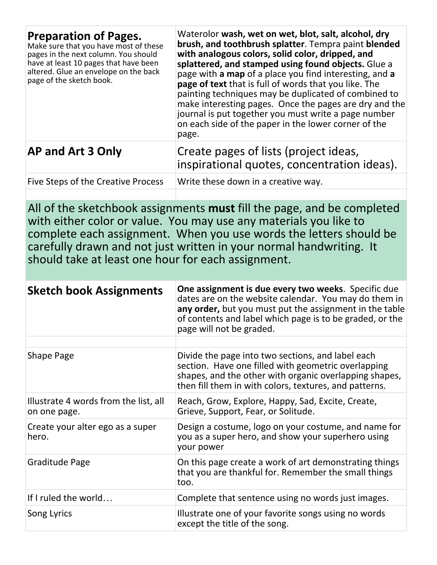| <b>Preparation of Pages.</b><br>Make sure that you have most of these<br>pages in the next column. You should<br>have at least 10 pages that have been<br>altered. Glue an envelope on the back<br>page of the sketch book. | Waterolor wash, wet on wet, blot, salt, alcohol, dry<br>brush, and toothbrush splatter. Tempra paint blended<br>with analogous colors, solid color, dripped, and<br>splattered, and stamped using found objects. Glue a<br>page with a map of a place you find interesting, and a<br>page of text that is full of words that you like. The<br>painting techniques may be duplicated of combined to<br>make interesting pages. Once the pages are dry and the<br>journal is put together you must write a page number<br>on each side of the paper in the lower corner of the<br>page. |
|-----------------------------------------------------------------------------------------------------------------------------------------------------------------------------------------------------------------------------|---------------------------------------------------------------------------------------------------------------------------------------------------------------------------------------------------------------------------------------------------------------------------------------------------------------------------------------------------------------------------------------------------------------------------------------------------------------------------------------------------------------------------------------------------------------------------------------|
| <b>AP and Art 3 Only</b>                                                                                                                                                                                                    | Create pages of lists (project ideas,<br>inspirational quotes, concentration ideas).                                                                                                                                                                                                                                                                                                                                                                                                                                                                                                  |
| Five Steps of the Creative Process                                                                                                                                                                                          | Write these down in a creative way.                                                                                                                                                                                                                                                                                                                                                                                                                                                                                                                                                   |

All of the sketchbook assignments **must** fill the page, and be completed with either color or value. You may use any materials you like to complete each assignment. When you use words the letters should be carefully drawn and not just written in your normal handwriting. It should take at least one hour for each assignment.

| <b>Sketch book Assignments</b>                        | One assignment is due every two weeks. Specific due<br>dates are on the website calendar. You may do them in<br>any order, but you must put the assignment in the table<br>of contents and label which page is to be graded, or the<br>page will not be graded. |
|-------------------------------------------------------|-----------------------------------------------------------------------------------------------------------------------------------------------------------------------------------------------------------------------------------------------------------------|
|                                                       |                                                                                                                                                                                                                                                                 |
| <b>Shape Page</b>                                     | Divide the page into two sections, and label each<br>section. Have one filled with geometric overlapping<br>shapes, and the other with organic overlapping shapes,<br>then fill them in with colors, textures, and patterns.                                    |
| Illustrate 4 words from the list, all<br>on one page. | Reach, Grow, Explore, Happy, Sad, Excite, Create,<br>Grieve, Support, Fear, or Solitude.                                                                                                                                                                        |
| Create your alter ego as a super<br>hero.             | Design a costume, logo on your costume, and name for<br>you as a super hero, and show your superhero using<br>your power                                                                                                                                        |
| Graditude Page                                        | On this page create a work of art demonstrating things<br>that you are thankful for. Remember the small things<br>too.                                                                                                                                          |
| If I ruled the world                                  | Complete that sentence using no words just images.                                                                                                                                                                                                              |
| Song Lyrics                                           | Illustrate one of your favorite songs using no words<br>except the title of the song.                                                                                                                                                                           |